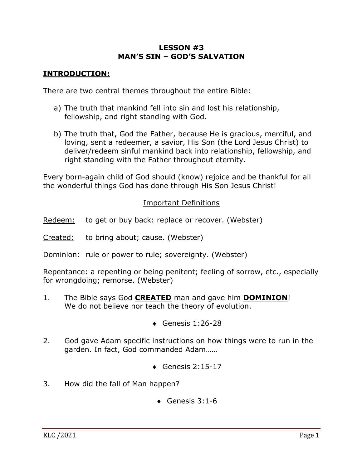## **LESSON #3 MAN'S SIN – GOD'S SALVATION**

## **INTRODUCTION:**

There are two central themes throughout the entire Bible:

- a) The truth that mankind fell into sin and lost his relationship, fellowship, and right standing with God.
- b) The truth that, God the Father, because He is gracious, merciful, and loving, sent a redeemer, a savior, His Son (the Lord Jesus Christ) to deliver/redeem sinful mankind back into relationship, fellowship, and right standing with the Father throughout eternity.

Every born-again child of God should (know) rejoice and be thankful for all the wonderful things God has done through His Son Jesus Christ!

## Important Definitions

- Redeem: to get or buy back: replace or recover. (Webster)
- Created: to bring about; cause. (Webster)
- Dominion: rule or power to rule; sovereignty. (Webster)

Repentance: a repenting or being penitent; feeling of sorrow, etc., especially for wrongdoing; remorse. (Webster)

- 1. The Bible says God **CREATED** man and gave him **DOMINION**! We do not believe nor teach the theory of evolution.
	- $\bullet$  Genesis 1:26-28
- 2. God gave Adam specific instructions on how things were to run in the garden. In fact, God commanded Adam……
	- $\triangleleft$  Genesis 2:15-17
- 3. How did the fall of Man happen?
	- $\triangleleft$  Genesis 3:1-6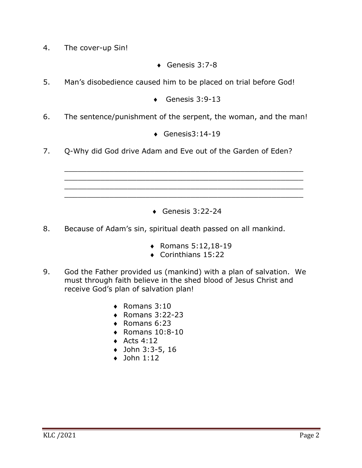- 4. The cover-up Sin!
- $\triangleleft$  Genesis 3:7-8
- 5. Man's disobedience caused him to be placed on trial before God!
	- $\triangleleft$  Genesis 3:9-13
- 6. The sentence/punishment of the serpent, the woman, and the man!
	- $\triangleleft$  Genesis3:14-19

\_\_\_\_\_\_\_\_\_\_\_\_\_\_\_\_\_\_\_\_\_\_\_\_\_\_\_\_\_\_\_\_\_\_\_\_\_\_\_\_\_\_\_\_\_\_\_\_\_\_\_\_\_ \_\_\_\_\_\_\_\_\_\_\_\_\_\_\_\_\_\_\_\_\_\_\_\_\_\_\_\_\_\_\_\_\_\_\_\_\_\_\_\_\_\_\_\_\_\_\_\_\_\_\_\_\_ \_\_\_\_\_\_\_\_\_\_\_\_\_\_\_\_\_\_\_\_\_\_\_\_\_\_\_\_\_\_\_\_\_\_\_\_\_\_\_\_\_\_\_\_\_\_\_\_\_\_\_\_\_ \_\_\_\_\_\_\_\_\_\_\_\_\_\_\_\_\_\_\_\_\_\_\_\_\_\_\_\_\_\_\_\_\_\_\_\_\_\_\_\_\_\_\_\_\_\_\_\_\_\_\_\_\_

7. Q-Why did God drive Adam and Eve out of the Garden of Eden?

 $\triangleleft$  Genesis 3:22-24

- 8. Because of Adam's sin, spiritual death passed on all mankind.
	- $\bullet$  Romans 5:12,18-19
	- $\bullet$  Corinthians 15:22
- 9. God the Father provided us (mankind) with a plan of salvation. We must through faith believe in the shed blood of Jesus Christ and receive God's plan of salvation plan!
	- $\triangleleft$  Romans 3:10
	- $\bullet$  Romans 3:22-23
	- $\triangleleft$  Romans 6:23
	- $\triangleleft$  Romans 10:8-10
	- $\triangleleft$  Acts 4:12
	- $\bullet$  John 3:3-5, 16
	- $\bullet$  John 1:12